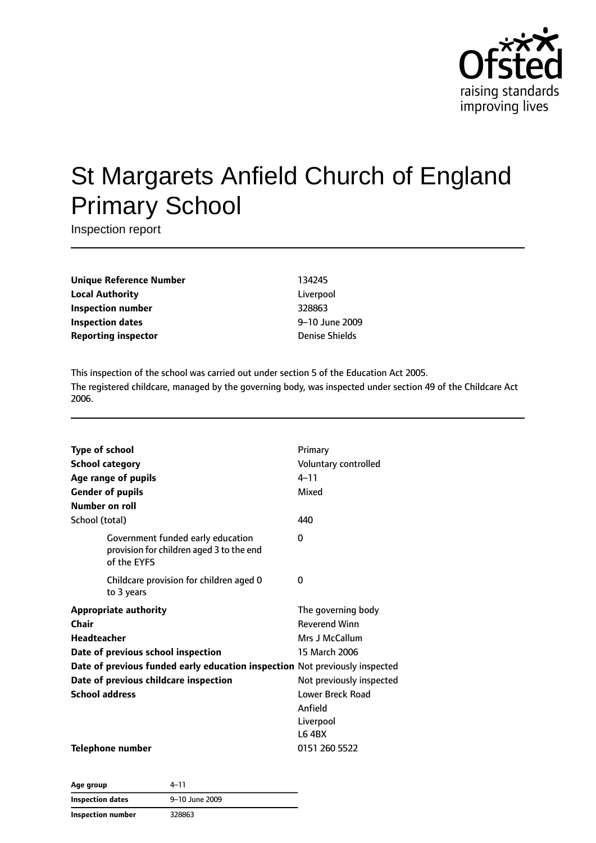

# St Margarets Anfield Church of England Primary School

Inspection report

**Unique Reference Number** 134245 **Local Authority** Liverpool **Inspection number** 328863 **Inspection dates** 9–10 June 2009 **Reporting inspector CONFIDENTIFY INCOCONTRACTLY PROPERTY DENSITY** Denise Shields

This inspection of the school was carried out under section 5 of the Education Act 2005. The registered childcare, managed by the governing body, was inspected under section 49 of the Childcare Act 2006.

| <b>Type of school</b><br><b>School category</b><br>Age range of pupils<br><b>Gender of pupils</b><br>Number on roll | Primary<br>Voluntary controlled<br>$4 - 11$<br>Mixed |
|---------------------------------------------------------------------------------------------------------------------|------------------------------------------------------|
| School (total)                                                                                                      | 440                                                  |
| Government funded early education<br>provision for children aged 3 to the end<br>of the EYFS                        | 0                                                    |
| Childcare provision for children aged 0<br>to 3 years                                                               | 0                                                    |
| <b>Appropriate authority</b>                                                                                        | The governing body                                   |
| Chair                                                                                                               | <b>Reverend Winn</b>                                 |
| <b>Headteacher</b>                                                                                                  | Mrs J McCallum                                       |
| Date of previous school inspection                                                                                  | 15 March 2006                                        |
| Date of previous funded early education inspection Not previously inspected                                         |                                                      |
| Date of previous childcare inspection                                                                               | Not previously inspected                             |
| <b>School address</b>                                                                                               | <b>Lower Breck Road</b>                              |
|                                                                                                                     | Anfield                                              |
|                                                                                                                     | Liverpool                                            |
|                                                                                                                     | <b>L6 4BX</b>                                        |
| <b>Telephone number</b>                                                                                             | 0151 260 5522                                        |

| Age group         | 4-11           |
|-------------------|----------------|
| Inspection dates  | 9-10 June 2009 |
| Inspection number | 328863         |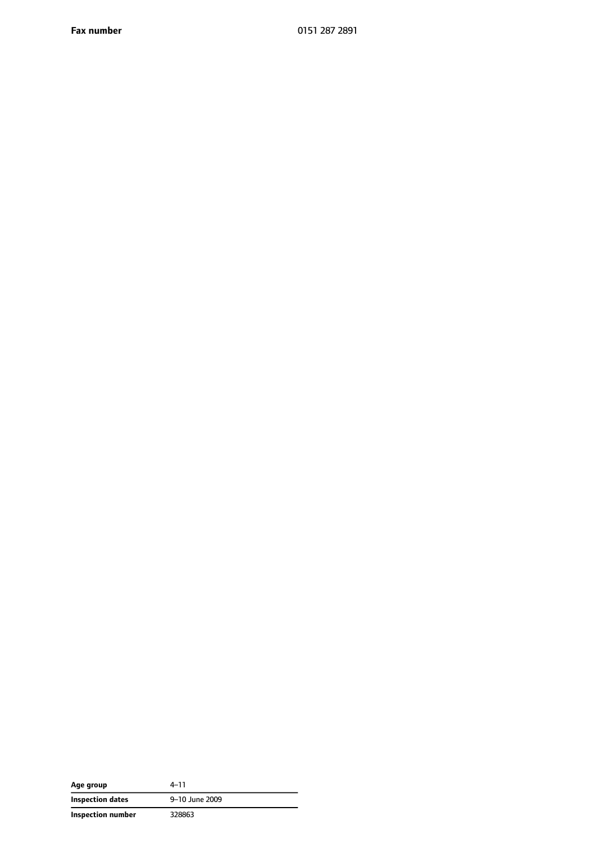**Fax number** 0151 287 2891

| Age group         | $4 - 11$       |
|-------------------|----------------|
| Inspection dates  | 9-10 June 2009 |
| Inspection number | 328863         |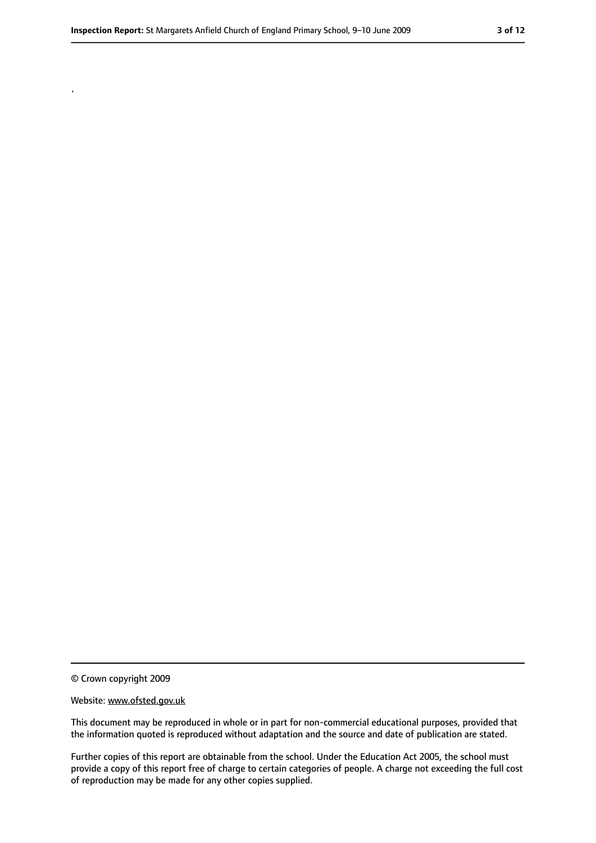.

<sup>©</sup> Crown copyright 2009

Website: www.ofsted.gov.uk

This document may be reproduced in whole or in part for non-commercial educational purposes, provided that the information quoted is reproduced without adaptation and the source and date of publication are stated.

Further copies of this report are obtainable from the school. Under the Education Act 2005, the school must provide a copy of this report free of charge to certain categories of people. A charge not exceeding the full cost of reproduction may be made for any other copies supplied.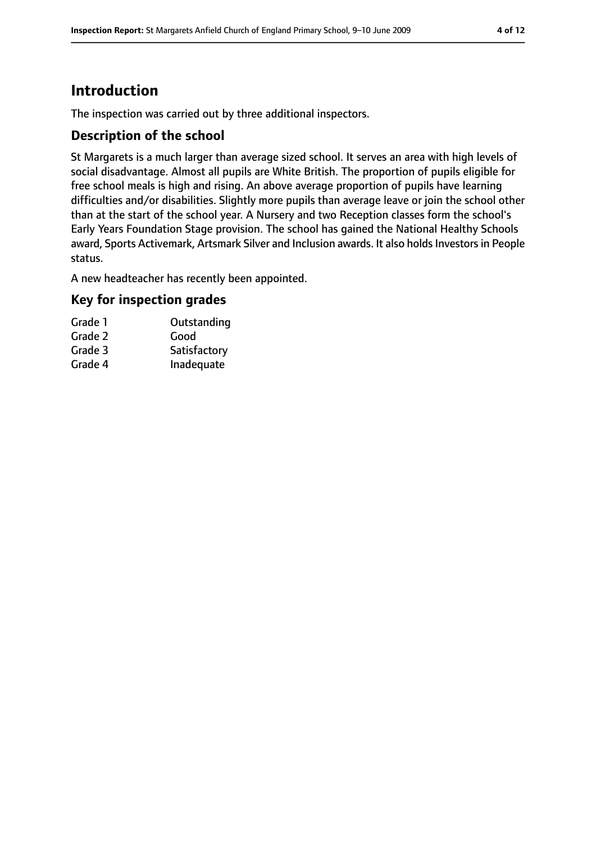# **Introduction**

The inspection was carried out by three additional inspectors.

#### **Description of the school**

St Margarets is a much larger than average sized school. It serves an area with high levels of social disadvantage. Almost all pupils are White British. The proportion of pupils eligible for free school meals is high and rising. An above average proportion of pupils have learning difficulties and/or disabilities. Slightly more pupils than average leave or join the school other than at the start of the school year. A Nursery and two Reception classes form the school's Early Years Foundation Stage provision. The school has gained the National Healthy Schools award, Sports Activemark, Artsmark Silver and Inclusion awards. It also holds Investors in People status.

A new headteacher has recently been appointed.

#### **Key for inspection grades**

| Grade 1 | Outstanding  |
|---------|--------------|
| Grade 2 | Good         |
| Grade 3 | Satisfactory |
| Grade 4 | Inadequate   |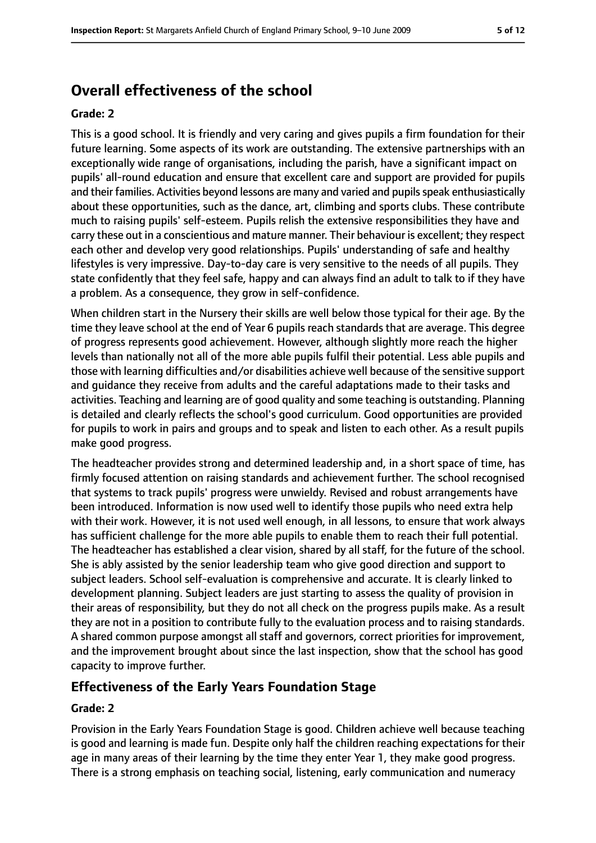# **Overall effectiveness of the school**

#### **Grade: 2**

This is a good school. It is friendly and very caring and gives pupils a firm foundation for their future learning. Some aspects of its work are outstanding. The extensive partnerships with an exceptionally wide range of organisations, including the parish, have a significant impact on pupils' all-round education and ensure that excellent care and support are provided for pupils and their families. Activities beyond lessons are many and varied and pupils speak enthusiastically about these opportunities, such as the dance, art, climbing and sports clubs. These contribute much to raising pupils' self-esteem. Pupils relish the extensive responsibilities they have and carry these out in a conscientious and mature manner. Their behaviour is excellent; they respect each other and develop very good relationships. Pupils' understanding of safe and healthy lifestyles is very impressive. Day-to-day care is very sensitive to the needs of all pupils. They state confidently that they feel safe, happy and can always find an adult to talk to if they have a problem. As a consequence, they grow in self-confidence.

When children start in the Nursery their skills are well below those typical for their age. By the time they leave school at the end of Year 6 pupils reach standards that are average. This degree of progress represents good achievement. However, although slightly more reach the higher levels than nationally not all of the more able pupils fulfil their potential. Less able pupils and those with learning difficulties and/or disabilities achieve well because of the sensitive support and guidance they receive from adults and the careful adaptations made to their tasks and activities. Teaching and learning are of good quality and some teaching is outstanding. Planning is detailed and clearly reflects the school's good curriculum. Good opportunities are provided for pupils to work in pairs and groups and to speak and listen to each other. As a result pupils make good progress.

The headteacher provides strong and determined leadership and, in a short space of time, has firmly focused attention on raising standards and achievement further. The school recognised that systems to track pupils' progress were unwieldy. Revised and robust arrangements have been introduced. Information is now used well to identify those pupils who need extra help with their work. However, it is not used well enough, in all lessons, to ensure that work always has sufficient challenge for the more able pupils to enable them to reach their full potential. The headteacher has established a clear vision, shared by all staff, for the future of the school. She is ably assisted by the senior leadership team who give good direction and support to subject leaders. School self-evaluation is comprehensive and accurate. It is clearly linked to development planning. Subject leaders are just starting to assess the quality of provision in their areas of responsibility, but they do not all check on the progress pupils make. As a result they are not in a position to contribute fully to the evaluation process and to raising standards. A shared common purpose amongst all staff and governors, correct priorities for improvement, and the improvement brought about since the last inspection, show that the school has good capacity to improve further.

#### **Effectiveness of the Early Years Foundation Stage**

#### **Grade: 2**

Provision in the Early Years Foundation Stage is good. Children achieve well because teaching is good and learning is made fun. Despite only half the children reaching expectations for their age in many areas of their learning by the time they enter Year 1, they make good progress. There is a strong emphasis on teaching social, listening, early communication and numeracy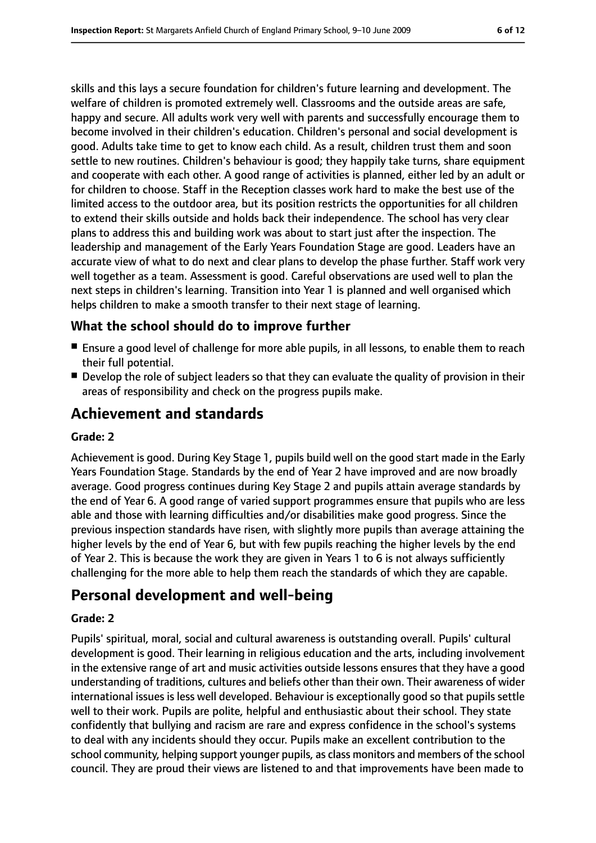skills and this lays a secure foundation for children's future learning and development. The welfare of children is promoted extremely well. Classrooms and the outside areas are safe, happy and secure. All adults work very well with parents and successfully encourage them to become involved in their children's education. Children's personal and social development is good. Adults take time to get to know each child. As a result, children trust them and soon settle to new routines. Children's behaviour is good; they happily take turns, share equipment and cooperate with each other. A good range of activities is planned, either led by an adult or for children to choose. Staff in the Reception classes work hard to make the best use of the limited access to the outdoor area, but its position restricts the opportunities for all children to extend their skills outside and holds back their independence. The school has very clear plans to address this and building work was about to start just after the inspection. The leadership and management of the Early Years Foundation Stage are good. Leaders have an accurate view of what to do next and clear plans to develop the phase further. Staff work very well together as a team. Assessment is good. Careful observations are used well to plan the next steps in children's learning. Transition into Year 1 is planned and well organised which helps children to make a smooth transfer to their next stage of learning.

#### **What the school should do to improve further**

- Ensure a good level of challenge for more able pupils, in all lessons, to enable them to reach their full potential.
- Develop the role of subject leaders so that they can evaluate the quality of provision in their areas of responsibility and check on the progress pupils make.

# **Achievement and standards**

#### **Grade: 2**

Achievement is good. During Key Stage 1, pupils build well on the good start made in the Early Years Foundation Stage. Standards by the end of Year 2 have improved and are now broadly average. Good progress continues during Key Stage 2 and pupils attain average standards by the end of Year 6. A good range of varied support programmes ensure that pupils who are less able and those with learning difficulties and/or disabilities make good progress. Since the previous inspection standards have risen, with slightly more pupils than average attaining the higher levels by the end of Year 6, but with few pupils reaching the higher levels by the end of Year 2. This is because the work they are given in Years 1 to 6 is not always sufficiently challenging for the more able to help them reach the standards of which they are capable.

### **Personal development and well-being**

#### **Grade: 2**

Pupils' spiritual, moral, social and cultural awareness is outstanding overall. Pupils' cultural development is good. Their learning in religious education and the arts, including involvement in the extensive range of art and music activities outside lessons ensures that they have a good understanding of traditions, cultures and beliefs other than their own. Their awareness of wider international issues is less well developed. Behaviour is exceptionally good so that pupils settle well to their work. Pupils are polite, helpful and enthusiastic about their school. They state confidently that bullying and racism are rare and express confidence in the school's systems to deal with any incidents should they occur. Pupils make an excellent contribution to the school community, helping support younger pupils, as class monitors and members of the school council. They are proud their views are listened to and that improvements have been made to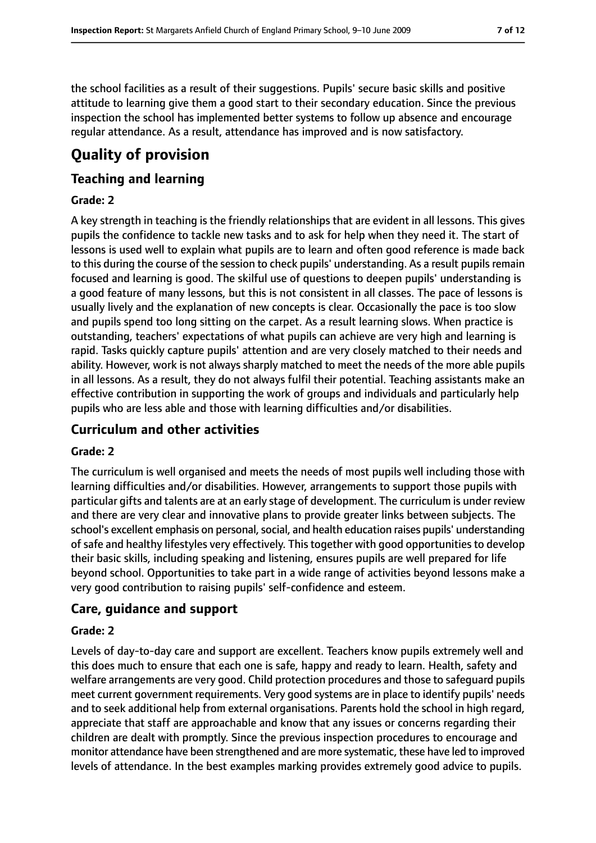the school facilities as a result of their suggestions. Pupils' secure basic skills and positive attitude to learning give them a good start to their secondary education. Since the previous inspection the school has implemented better systems to follow up absence and encourage regular attendance. As a result, attendance has improved and is now satisfactory.

# **Quality of provision**

#### **Teaching and learning**

#### **Grade: 2**

A key strength in teaching is the friendly relationships that are evident in all lessons. This gives pupils the confidence to tackle new tasks and to ask for help when they need it. The start of lessons is used well to explain what pupils are to learn and often good reference is made back to this during the course of the session to check pupils' understanding. As a result pupils remain focused and learning is good. The skilful use of questions to deepen pupils' understanding is a good feature of many lessons, but this is not consistent in all classes. The pace of lessons is usually lively and the explanation of new concepts is clear. Occasionally the pace is too slow and pupils spend too long sitting on the carpet. As a result learning slows. When practice is outstanding, teachers' expectations of what pupils can achieve are very high and learning is rapid. Tasks quickly capture pupils' attention and are very closely matched to their needs and ability. However, work is not always sharply matched to meet the needs of the more able pupils in all lessons. As a result, they do not always fulfil their potential. Teaching assistants make an effective contribution in supporting the work of groups and individuals and particularly help pupils who are less able and those with learning difficulties and/or disabilities.

#### **Curriculum and other activities**

#### **Grade: 2**

The curriculum is well organised and meets the needs of most pupils well including those with learning difficulties and/or disabilities. However, arrangements to support those pupils with particular gifts and talents are at an early stage of development. The curriculum is under review and there are very clear and innovative plans to provide greater links between subjects. The school's excellent emphasis on personal, social, and health education raises pupils' understanding of safe and healthy lifestyles very effectively. This together with good opportunities to develop their basic skills, including speaking and listening, ensures pupils are well prepared for life beyond school. Opportunities to take part in a wide range of activities beyond lessons make a very good contribution to raising pupils' self-confidence and esteem.

#### **Care, guidance and support**

#### **Grade: 2**

Levels of day-to-day care and support are excellent. Teachers know pupils extremely well and this does much to ensure that each one is safe, happy and ready to learn. Health, safety and welfare arrangements are very good. Child protection procedures and those to safeguard pupils meet current government requirements. Very good systems are in place to identify pupils' needs and to seek additional help from external organisations. Parents hold the school in high regard, appreciate that staff are approachable and know that any issues or concerns regarding their children are dealt with promptly. Since the previous inspection procedures to encourage and monitor attendance have been strengthened and are more systematic, these have led to improved levels of attendance. In the best examples marking provides extremely good advice to pupils.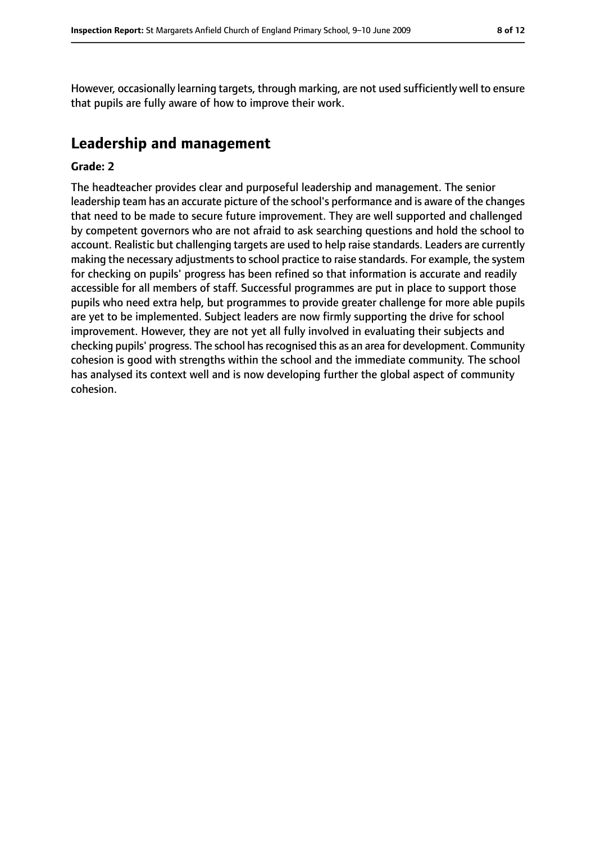However, occasionally learning targets, through marking, are not used sufficiently well to ensure that pupils are fully aware of how to improve their work.

# **Leadership and management**

#### **Grade: 2**

The headteacher provides clear and purposeful leadership and management. The senior leadership team has an accurate picture of the school's performance and is aware of the changes that need to be made to secure future improvement. They are well supported and challenged by competent governors who are not afraid to ask searching questions and hold the school to account. Realistic but challenging targets are used to help raise standards. Leaders are currently making the necessary adjustments to school practice to raise standards. For example, the system for checking on pupils' progress has been refined so that information is accurate and readily accessible for all members of staff. Successful programmes are put in place to support those pupils who need extra help, but programmes to provide greater challenge for more able pupils are yet to be implemented. Subject leaders are now firmly supporting the drive for school improvement. However, they are not yet all fully involved in evaluating their subjects and checking pupils' progress. The school has recognised this as an area for development. Community cohesion is good with strengths within the school and the immediate community. The school has analysed its context well and is now developing further the global aspect of community cohesion.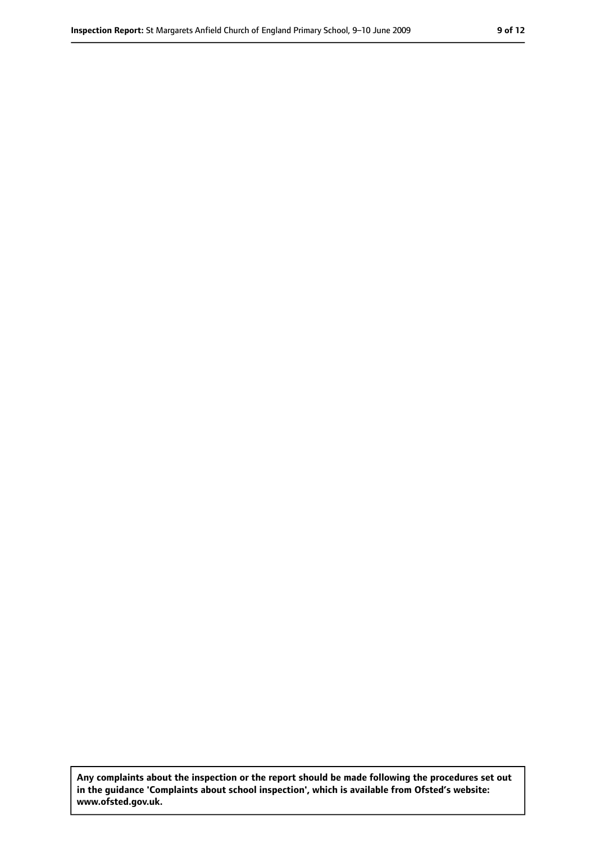**Any complaints about the inspection or the report should be made following the procedures set out in the guidance 'Complaints about school inspection', which is available from Ofsted's website: www.ofsted.gov.uk.**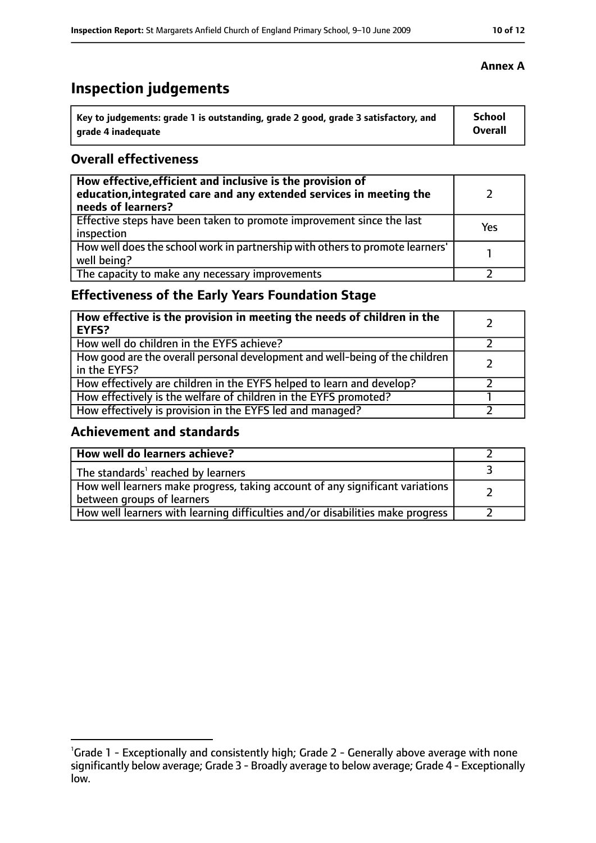# **Inspection judgements**

| Key to judgements: grade 1 is outstanding, grade 2 good, grade 3 satisfactory, and | <b>School</b>  |
|------------------------------------------------------------------------------------|----------------|
| arade 4 inadequate                                                                 | <b>Overall</b> |

#### **Overall effectiveness**

| How effective, efficient and inclusive is the provision of<br>education, integrated care and any extended services in meeting the<br>needs of learners? |     |
|---------------------------------------------------------------------------------------------------------------------------------------------------------|-----|
| Effective steps have been taken to promote improvement since the last<br>inspection                                                                     | Yes |
| How well does the school work in partnership with others to promote learners'<br>well being?                                                            |     |
| The capacity to make any necessary improvements                                                                                                         |     |

### **Effectiveness of the Early Years Foundation Stage**

| How effective is the provision in meeting the needs of children in the<br><b>EYFS?</b>       |  |
|----------------------------------------------------------------------------------------------|--|
| How well do children in the EYFS achieve?                                                    |  |
| How good are the overall personal development and well-being of the children<br>in the EYFS? |  |
| How effectively are children in the EYFS helped to learn and develop?                        |  |
| How effectively is the welfare of children in the EYFS promoted?                             |  |
| How effectively is provision in the EYFS led and managed?                                    |  |

#### **Achievement and standards**

| How well do learners achieve?                                                                               |  |
|-------------------------------------------------------------------------------------------------------------|--|
| The standards <sup>1</sup> reached by learners                                                              |  |
| How well learners make progress, taking account of any significant variations<br>between groups of learners |  |
| How well learners with learning difficulties and/or disabilities make progress                              |  |

<sup>&</sup>lt;sup>1</sup>Grade 1 - Exceptionally and consistently high; Grade 2 - Generally above average with none significantly below average; Grade 3 - Broadly average to below average; Grade 4 - Exceptionally low.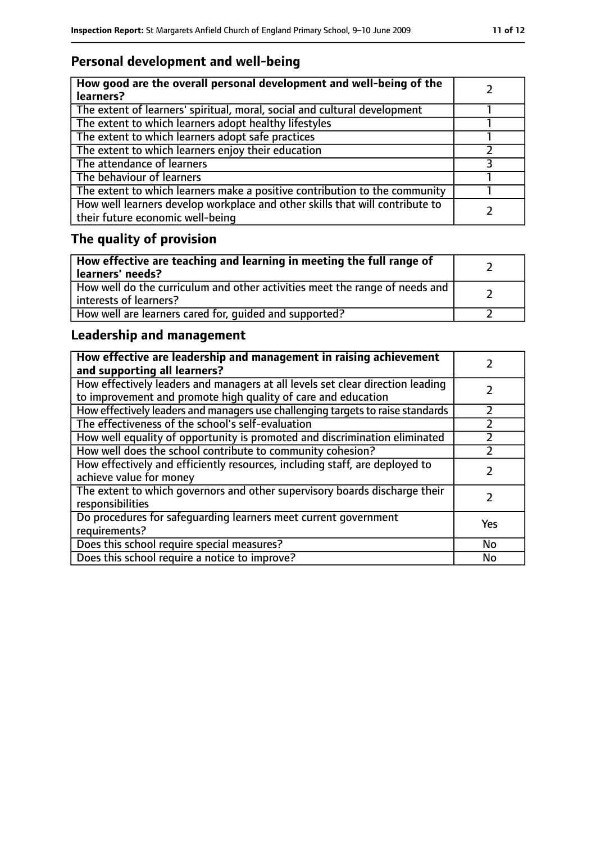# **Personal development and well-being**

| How good are the overall personal development and well-being of the<br>learners?                                 |  |
|------------------------------------------------------------------------------------------------------------------|--|
| The extent of learners' spiritual, moral, social and cultural development                                        |  |
| The extent to which learners adopt healthy lifestyles                                                            |  |
| The extent to which learners adopt safe practices                                                                |  |
| The extent to which learners enjoy their education                                                               |  |
| The attendance of learners                                                                                       |  |
| The behaviour of learners                                                                                        |  |
| The extent to which learners make a positive contribution to the community                                       |  |
| How well learners develop workplace and other skills that will contribute to<br>their future economic well-being |  |

# **The quality of provision**

| How effective are teaching and learning in meeting the full range of<br>learners' needs?              |  |
|-------------------------------------------------------------------------------------------------------|--|
| How well do the curriculum and other activities meet the range of needs and<br>interests of learners? |  |
| How well are learners cared for, quided and supported?                                                |  |

### **Leadership and management**

| How effective are leadership and management in raising achievement<br>and supporting all learners?                                              |     |
|-------------------------------------------------------------------------------------------------------------------------------------------------|-----|
| How effectively leaders and managers at all levels set clear direction leading<br>to improvement and promote high quality of care and education |     |
| How effectively leaders and managers use challenging targets to raise standards                                                                 |     |
| The effectiveness of the school's self-evaluation                                                                                               |     |
| How well equality of opportunity is promoted and discrimination eliminated                                                                      |     |
| How well does the school contribute to community cohesion?                                                                                      |     |
| How effectively and efficiently resources, including staff, are deployed to<br>achieve value for money                                          |     |
| The extent to which governors and other supervisory boards discharge their<br>responsibilities                                                  |     |
| Do procedures for safequarding learners meet current government<br>requirements?                                                                | Yes |
| Does this school require special measures?                                                                                                      | No  |
| Does this school require a notice to improve?                                                                                                   | No  |